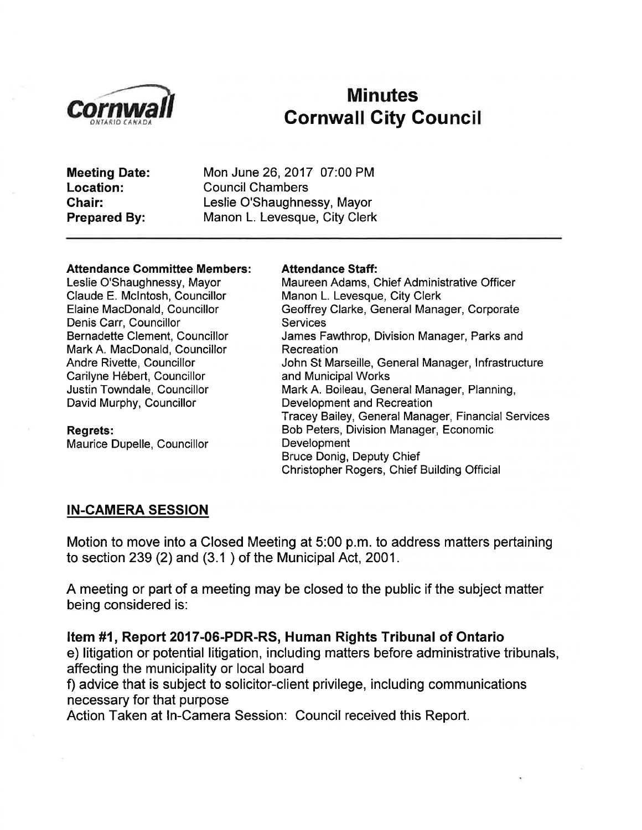

# Oornwall Minutes<br>Cornwall City Council

Meeting Date: Location: Ghair: Prepared By:

Mon June 26,2017 07:00 PM Council Chambers Leslie O'Shaughnessy, Mayor Manon L. Levesque, City Clerk

#### Attendance Committee Members:

Leslie O'Shaughnessy, Mayor Claude E. Mclntosh, Councillor Elaine MacDonald, Councillor Denis Carr, Councillor Bernadette Clement, Councillor Mark A. MacDonald, Councillor Andre Rivette, Councillor Carilyne Hébert, Councillor Justin Towndale, Councillor David Murphy, Councillor

#### Regrets:

Maurice Dupelle, Councillor

#### Attendance Staff:

Maureen Adams, Chief Administrative Officer Manon L. Levesque, City Clerk Geoffrey Clarke, General Manager, Corporate **Services** James Fawthrop, Division Manager, Parks and **Recreation** John St Marseille, General Manager, lnfrastructure and Municipal Works Mark A. Boileau, General Manager, Planning, Development and Recreation Tracey Bailey, General Manager, Financial Services Bob Peters, Division Manager, Economic Development Bruce Donig, Deputy Chief Christopher Rogers, Chief Building Official

#### IN-CAMERA SESSION

Motion to move into a Closed Meeting at 5:00 p.m. to address matters pertaining to section 239 (2) and (3.1 ) of the Municipal Act, 2001.

A meeting or part of a meeting may be closed to the public if the subject matter being considered is:

Item #1, Report 2017-06-PDR-RS, Human Rights Tribunal of Ontario e) litigation or potential litigation, including matters before administrative tribunals, affecting the municipality or local board

f) advice that is subject to solicitor-client privilege, including communications necessary for that purpose

Action Taken at ln-Camera Session: Council received this Report.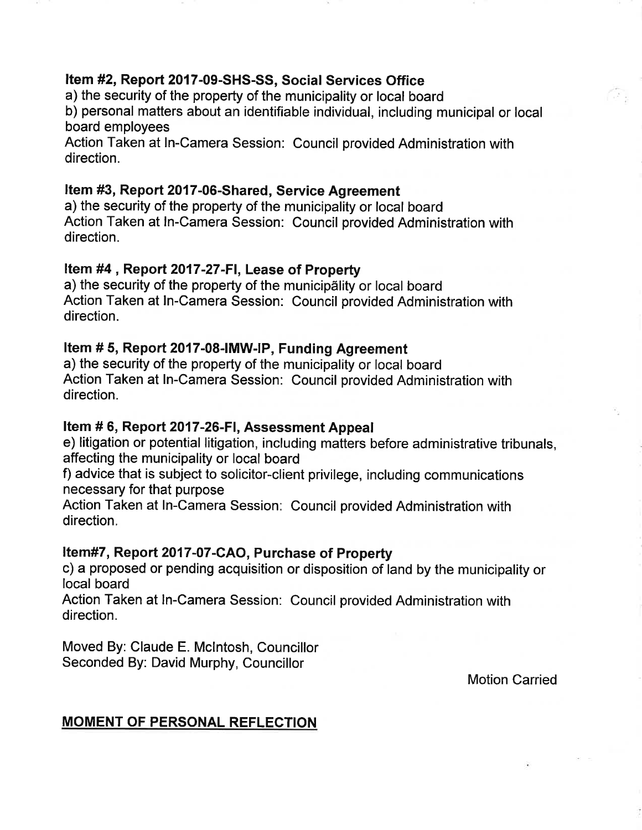### Item #2, Report 2017-09-SHS-SS, Social Services Office

a) the security of the property of the municipality or local board

b) personal matters about an identifiable individual, including municipal or local board employees

Action Taken at ln-Camera Session: Council provided Administration with direction.

# Item #3, Report 2017-06-Shared, Service Agreement

a) the security of the property of the municipality or local board Action Taken at ln-Camera Session: Council provided Administration with direction.

### Item #4, Report 2017-27-FI, Lease of Property

a) the security of the property of the municipãlity or local board Action Taken at ln-Camera Session: Council provided Administration with directíon.

# Item # 5, Report 2017-08-IMW-IP, Funding Agreement

a) the security of the property of the municipality or local board Action Taken at In-Camera Session: Council provided Administration with direction.

#### Item # 6, Report 2017-26-FI, Assessment Appeal

e) litigation or potential litigation, including matters before administrative tribunals, affecting the municipality or local board

f) advice that is subject to solicitor-client privilege, including communicatíons necessary for that purpose

Action Taken at ln-Camera Session: Council provided Administration with direction.

#### Item#7, Report 2017-07-CAO, Purchase of Property

c) a proposed or pending acquisition or disposition of land by the municipality or local board

Action Taken at ln-Camera Session: Council provided Administration with direction.

Moved By: Claude E. Mclntosh, Councillor Seconded By: David Murphy, Councillor

Motion Carried

# MOMENT OF PERSONAL REFLECTION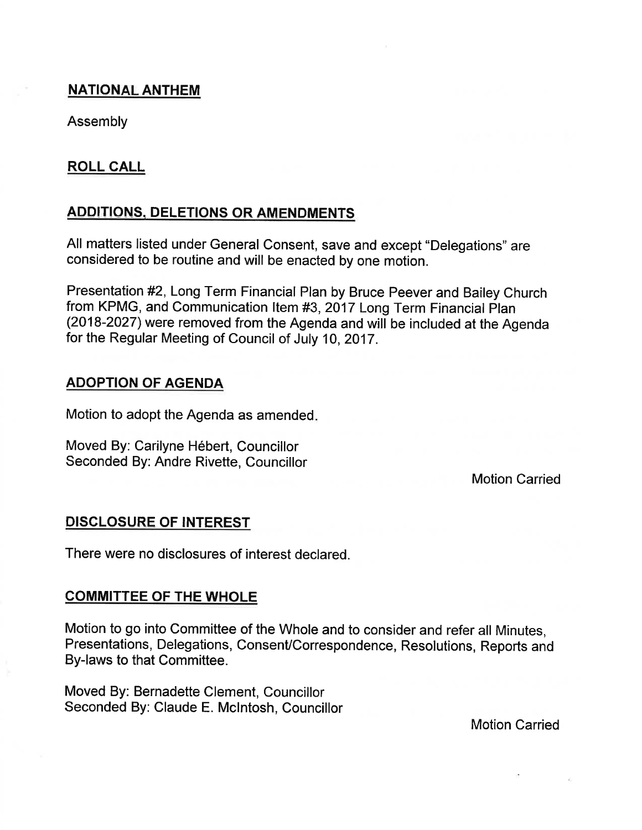#### **NATIONAL ANTHEM**

Assembly

### ROLL CALL

### **ADDITIONS, DELETIONS OR AMENDMENTS**

All matters listed under General Consent, save and except "Delegations" are considered to be routine and will be enacted by one motion.

Presentation#2, Long Term Financial Plan by Bruce Peever and Bailey Church from KPMG, and Communication ltem #3,2017 Long Term Financial Plan (2018-2027) were removed from the Agenda and will be included at the Agenda for the Regular Meeting of Council of July 10,2017 .

#### ADOPTION OF AGENDA

Motion to adopt the Agenda as amended

Moved By: Carilyne Hébert, Councillor Seconded By: Andre Rivette, Councillor

Motion Carried

#### DISCLOSURE OF INTEREST

There were no disclosures of interest declared.

#### COMMITTEE OF THE WHOLE

Motion to go into Committee of the Whole and to consider and refer all Minutes, Presentations, Delegations, Consent/Correspondence, Resolutions, Reports and By-laws to that Committee.

Moved By: Bernadette Clement, Councillor Seconded By: Claude E. Mclntosh, Councillor

Motion Carried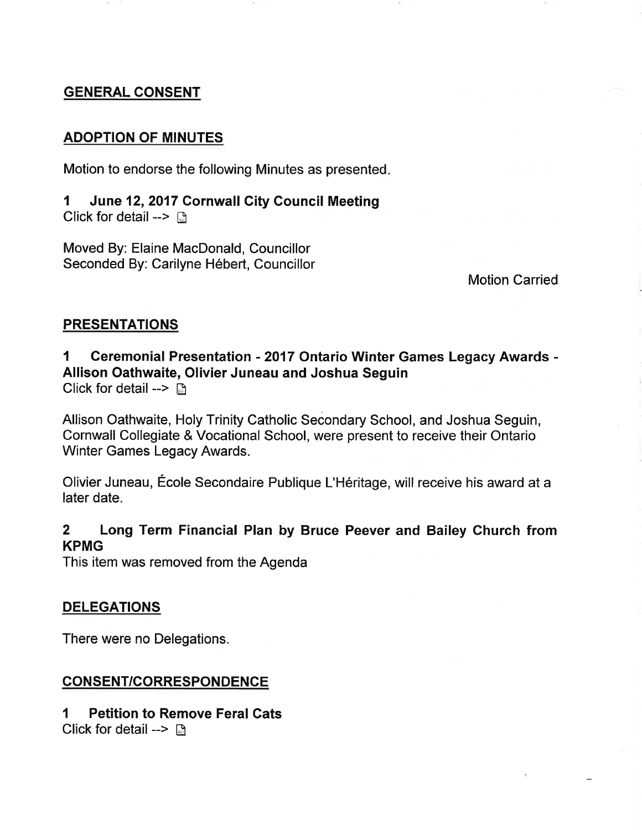#### GENERAL CONSENT

#### ADOPTION OF MINUTES

Motion to endorse the following Minutes as presented

1 June 12,2017 Cornwall City Council Meeting Click for detail  $\rightarrow \Box$ 

Moved By: Elaine MacDonald, Councillor Seconded By: Carilyne Hébert, Councillor

Motion Carried

#### PRESENTATIONS

#### 1 Ceremonial Presentation - 2017 Ontario Winter Games Legacy Awards -Allison Oathwaite, Olivier Juneau and Joshua Seguin Click for detail  $\rightarrow$  D

Allison Oathwaite, Holy Trinity Catholic Secondary School, and Joshua Seguin, Cornwall Collegiate & Vocational School, were present to receive their Ontario Winter Games Legacy Awards.

Olivier Juneau, École Secondaire Publique L'Héritage, will receive his award at a later date.

#### 2 Long Term Financial Plan by Bruce Peever and Bailey Church from KPMG

This item was removed from the Agenda

#### DELEGATIONS

There were no Delegations.

#### CONSENT/CORRESPONDENCE

#### 1 Petition to Remove Feral Cats Click for detail --> ä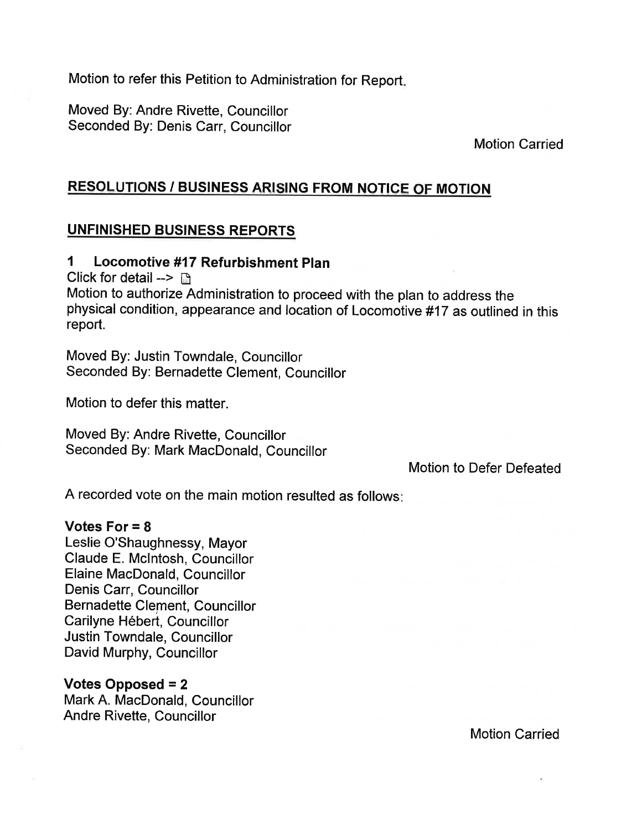Motion to refer this Petition to Administration for Report

Moved By: Andre Rivette, Councillor Seconded By: Denis Carr, Councillor

Motion Carried

### RESOLUTIONS / BUSINESS ARISING FROM NOTICE OF MOTION

#### UNFINISHED BUSINESS REPORTS

#### 1 Locomotive #17 Refurbishment Plan

Click for detail  $\rightarrow$  n

Motion to authorize Administration to proceed with the plan to address the physical condition, appearance and location of Locomotive #17 as outlined in this report.

Moved By: Justin Towndale, Councillor Seconded By: Bernadette Clement, Councillor

Motion to defer this matter.

Moved By: Andre Rivette, Councillor Seconded By: Mark MacDonald, Councillor

Motion to Defer Defeated

A recorded vote on the main motion resulted as follows

#### Votes For  $= 8$

Leslie O'Shaughnessy, Mayor Claude E. Mclntosh, Councillor Elaine MacDonald, Councillor Denis Carr, Councillor Bernadette Clement, Councillor Carilyne Hébert, Councillor Justin Towndale, Councillor David Murphy, Councillor

#### Votes Opposed = 2

Mark A. MacDonald, Councillor Andre Rivette, Councillor

Motion Carried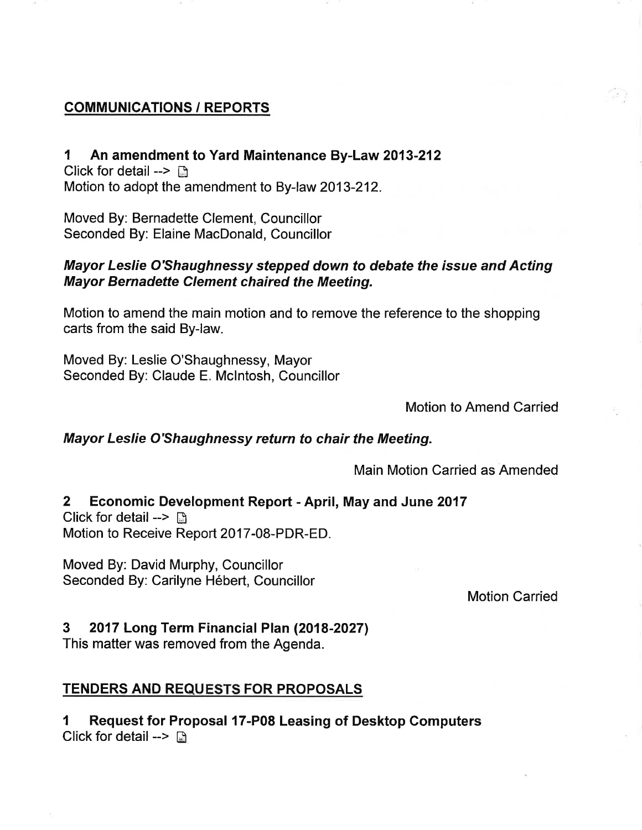#### COMMUNICATIONS / REPORTS

1 An amendment to Yard Maintenance By-Law 2013-212 Click for detail  $\rightarrow \mathbb{R}$ Motion to adopt the amendment to By-law 2013-212.

Moved By: Bernadette Clement, Councillor Seconded By: Elaine MacDonald, Councillor

#### Mayor Leslie O'Shaughnessy stepped down to debate the issue and Acting Mayor Bernadette Clement chaired the Meeting.

Motion to amend the main motion and to remove the reference to the shopping carts from the said By-law.

Moved By: Leslie O'Shaughnessy, Mayor Seconded By: Claude E. Mclntosh, Councillor

Motion to Amend Carried

#### Mayor Leslie O'Shaughnessy return to chair the Meeting.

Main Motion Carried as Amended

# 2 Economic Development Report - April, May and June <sup>2017</sup>

Click for detail  $\rightarrow$   $\Box$ Motion to Receive Report 2017-08-PDR-ED.

Moved By: David Murphy, Councillor Seconded By: Carilyne Hébert, Councillor

#### Motion Carried

#### 3 2017 Long Term Financial Plan (2018-2027)

This matter was removed from the Agenda.

#### TENDERS AND REQUESTS FOR PROPOSALS

I Request for Proposal 17-P08 Leasing of Desktop Computers Click for detail -->  $\Box$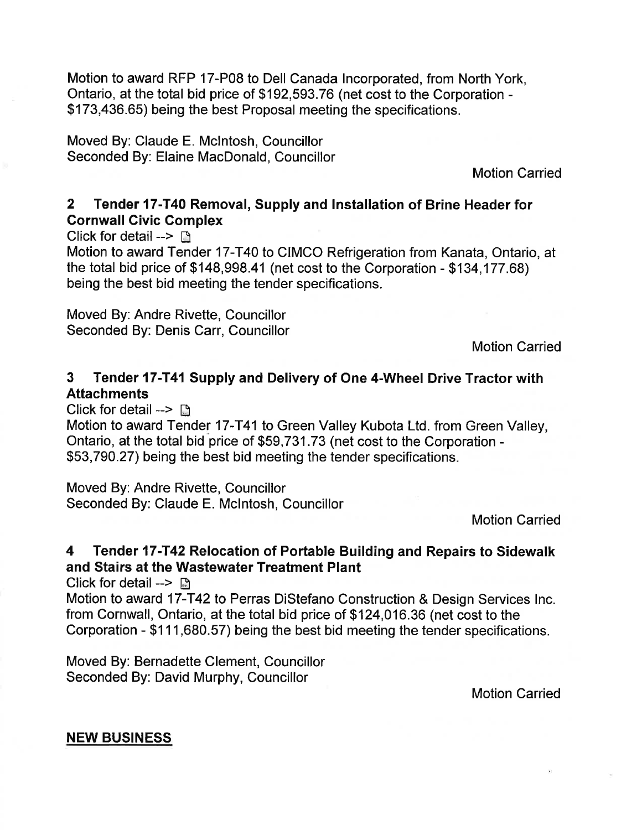Motion to award RFP 17-P08 to Dell Canada lncorporated, from North York, Ontario, at the total bid price of \$192,593.76 (net cost to the Corporation - \$173,436.65) being the best Proposal meeting the specifications.

Moved By: Claude E. Mclntosh, Councillor Seconded By: Elaine MacDonald, Councillor

Motion Carried

# 2 Tender 17-T40 Removal, Supply and lnstallation of Brine Header for Cornwall Civic Complex

Click for detail  $\rightarrow \rightarrow$ 

Motion to award Tender 17-T40 to CIMCO Refrigeration from Kanata, Ontario, at the total bid price of \$148,998.41 (net cost to the Corporation - \$134,177.68) being the best bid meeting the tender specifications.

Moved By: Andre Rivette, Councillor Seconded By: Denis Carr, Councillor

Motion Carried

# 3 Tender 17-T41 Supply and Delivery of One 4-Wheel Drive Tractor with **Attachments**

Click for detail  $- \Box$ 

Motion to award Tender 17-T41 to Green Valley Kubota Ltd. from Green Valley, Ontario, at the total bid price of \$59,731.73 (net cost to the Corporation -\$53,790.27) being the best bid meeting the tender specifications.

Moved By: Andre Rivette, Councillor Seconded By: Claude E. Mclntosh, Councillor

Motion Carried

# 4 Tender 17-T42 Relocation of Portable Building and Repairs to Sidewalk and Stairs at the Wastewater Treatment Plant

Click for detail --> **E** 

Motion to award 17-T42 to Perras DiStefano Construction & Design Services lnc. from Cornwall, Ontario, at the total bid price of \$124,016.36 (net cost to the Gorporation - \$111,680.57) being the best bid meeting the tender specifications.

Moved By: Bernadette Clement, Councillor Seconded By: David Murphy, Councillor

Motion Carried

#### NEW BUSINESS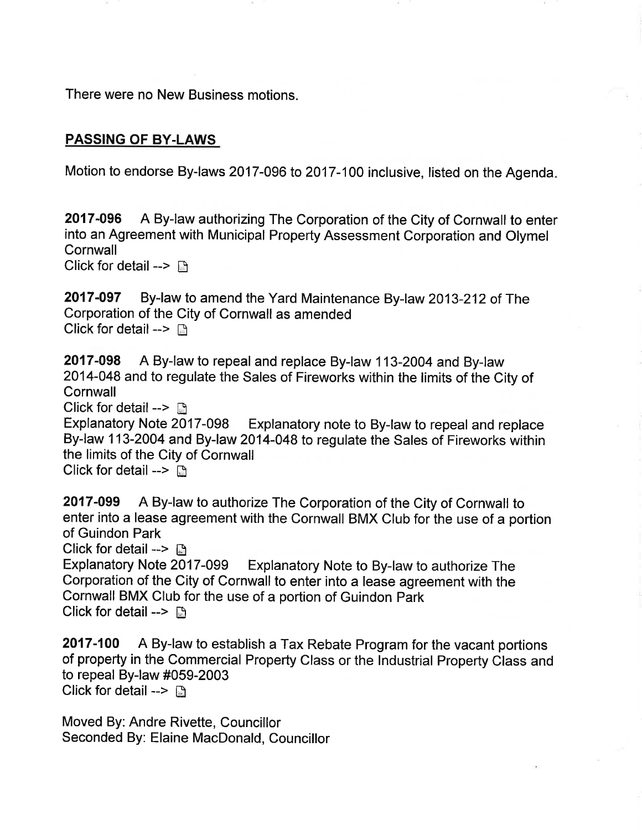There were no New Business motions.

### PASSING OF BY.LAWS

Motion to endorse By-laws 2017-096 to 2017-100 inclusive, listed on the Agenda

2017-096 A By-law authorizing The Corporation of the City of Cornwall to enter into an Agreement with Municipal Property Assessment Corporation and Olymel **Cornwall** 

Click for detail -->  $\Box$ 

2017-097 By-law to amend the Yard Maintenance By-law 2013-212 of The Corporation of the City of Cornwall as amended Click for detail  $\rightarrow \Box$ 

2017-098 A By-law to repeal and replace By-law 113-2004 and By-law 2014-048 and to regulate the Sales of Fireworks within the limits of the City of **Cornwall** 

Click for detail -->  $\Box$ 

Explanatory Note 2017-098 Explanatory note to By-law to repeal and replace By-law 113-2004 and By-law 2014-048 to regulate the Sales of Fireworks within the limits of the City of Cornwall

Click for detail  $\rightarrow$   $\Box$ 

2017-099 A By-law to authorize The Corporation of the City of Cornwall to enter into a lease agreement with the Cornwall BMX Club for the use of a portion of Guindon Park

Click for detail --> **A**<br>Explanatory Note 2017-099 Explanatory Note to By-law to authorize The Corporation of the City of Cornwall to enter into a lease agreement with the Cornwall BMX Club for the use of a portion of Guindon Park Click for detail  $\rightarrow$   $\Box$ 

2017-100 A By-law to establish a Tax Rebate Program for the vacant portions of property in the Commercial Property Class or the Industrial Property Class and to repeal By-law #059-2003 Click for detail -->  $\Box$ 

Moved By: Andre Rivette, Councillor Seconded By: Elaine MacDonald, Councillor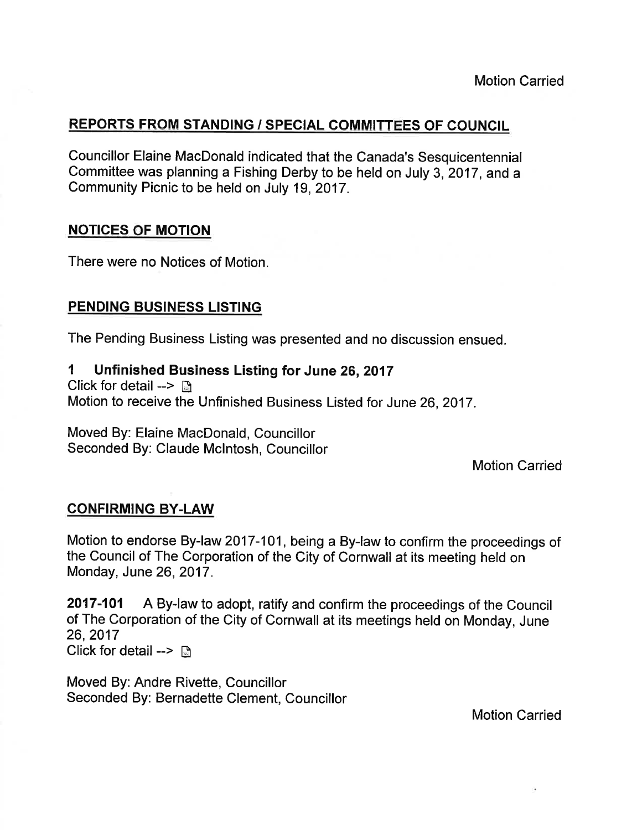# REPORTS FROM STANDING / SPECIAL COMMITTEES OF COUNCIL

Councillor Elaine MacDonald indicated that the Canada's Sesquicentennial committee was planning a Fishing Derby to be held on July 3, 2017, and a Community Picnic to be held on July 19,2017.

#### **NOTICES OF MOTION**

There were no Notices of Motion.

#### PENDING BUSINESS LISTING

The Pending Business Listing was presented and no discussion ensued.

#### 1 Unfinished Business Listing for June 26,2017

Click for detail --> ä Motion to receive the Unfinished Business Listed for June 26,2017.

Moved By: Elaine MacDonald, Councillor Seconded By: Claude Mclntosh, Councillor

Motion Carried

#### CONFIRMING BY.LAW

Motion to endorse By-law 2017-101, being a By-law to confirm the proceedings of the Council of The Corporation of the City of Cornwall at its meeting held on Monday, June 26,2017.

2017-101 A By-law to adopt, ratify and confirm the proceedings of the Council of The Corporation of the City of Cornwall at its meetings held on Monday, June 26,2017 Click for detail -->  $\Box$ 

Moved By: Andre Rivette, Councillor Seconded By: Bernadette Clement, Councillor

Motion Carried